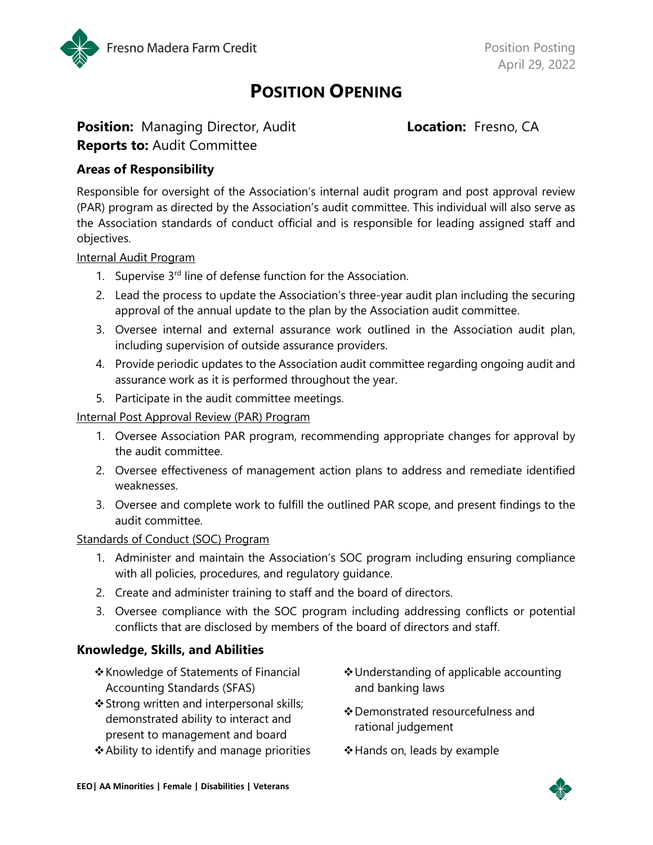

# POSITION OPENING

# Position: Managing Director, Audit Location: Fresno, CA **Reports to: Audit Committee**

## Areas of Responsibility

Responsible for oversight of the Association's internal audit program and post approval review (PAR) program as directed by the Association's audit committee. This individual will also serve as the Association standards of conduct official and is responsible for leading assigned staff and objectives.

#### Internal Audit Program

- 1. Supervise  $3<sup>rd</sup>$  line of defense function for the Association.
- 2. Lead the process to update the Association's three-year audit plan including the securing approval of the annual update to the plan by the Association audit committee.
- 3. Oversee internal and external assurance work outlined in the Association audit plan, including supervision of outside assurance providers.
- 4. Provide periodic updates to the Association audit committee regarding ongoing audit and assurance work as it is performed throughout the year.
- 5. Participate in the audit committee meetings.

#### Internal Post Approval Review (PAR) Program

- 1. Oversee Association PAR program, recommending appropriate changes for approval by the audit committee.
- 2. Oversee effectiveness of management action plans to address and remediate identified weaknesses.
- 3. Oversee and complete work to fulfill the outlined PAR scope, and present findings to the audit committee.

#### Standards of Conduct (SOC) Program

- 1. Administer and maintain the Association's SOC program including ensuring compliance with all policies, procedures, and regulatory guidance.
- 2. Create and administer training to staff and the board of directors.
- 3. Oversee compliance with the SOC program including addressing conflicts or potential conflicts that are disclosed by members of the board of directors and staff.

# Knowledge, Skills, and Abilities

- Knowledge of Statements of Financial Accounting Standards (SFAS)
- Strong written and interpersonal skills; demonstrated ability to interact and present to management and board
- ❖ Ability to identify and manage priorities •• Nands on, leads by example
- Understanding of applicable accounting and banking laws
- Demonstrated resourcefulness and rational judgement
-